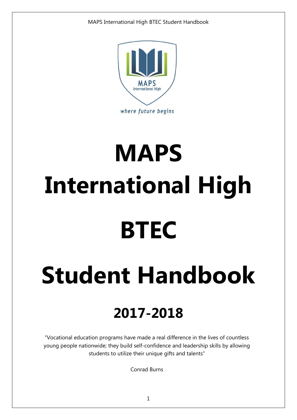

# **MAPS International High BTEC**

## **Student Handbook**

## **2017-2018**

"Vocational education programs have made a real difference in the lives of countless young people nationwide; they build self-confidence and leadership skills by allowing students to utilize their unique gifts and talents"

Conrad Burns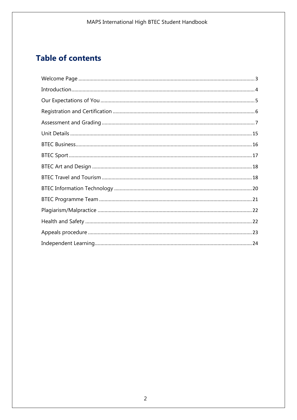## **Table of contents**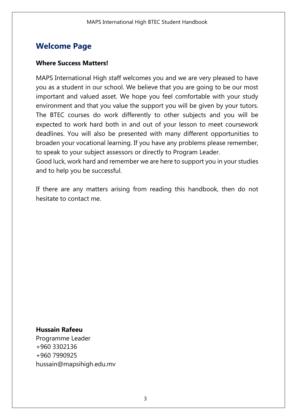## <span id="page-2-0"></span>**Welcome Page**

#### **Where Success Matters!**

MAPS International High staff welcomes you and we are very pleased to have you as a student in our school. We believe that you are going to be our most important and valued asset. We hope you feel comfortable with your study environment and that you value the support you will be given by your tutors. The BTEC courses do work differently to other subjects and you will be expected to work hard both in and out of your lesson to meet coursework deadlines. You will also be presented with many different opportunities to broaden your vocational learning. If you have any problems please remember, to speak to your subject assessors or directly to Program Leader.

Good luck, work hard and remember we are here to support you in your studies and to help you be successful.

If there are any matters arising from reading this handbook, then do not hesitate to contact me.

#### **Hussain Rafeeu**

Programme Leader +960 3302136 +960 7990925 hussain@mapsihigh.edu.mv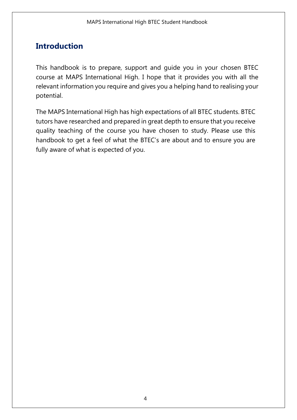## <span id="page-3-0"></span>**Introduction**

This handbook is to prepare, support and guide you in your chosen BTEC course at MAPS International High. I hope that it provides you with all the relevant information you require and gives you a helping hand to realising your potential.

The MAPS International High has high expectations of all BTEC students. BTEC tutors have researched and prepared in great depth to ensure that you receive quality teaching of the course you have chosen to study. Please use this handbook to get a feel of what the BTEC's are about and to ensure you are fully aware of what is expected of you.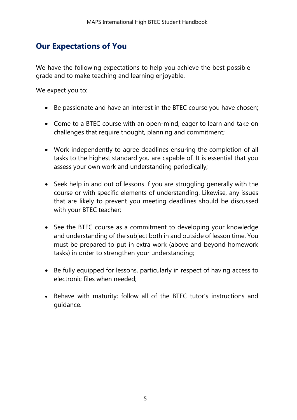## <span id="page-4-0"></span>**Our Expectations of You**

We have the following expectations to help you achieve the best possible grade and to make teaching and learning enjoyable.

We expect you to:

- Be passionate and have an interest in the BTEC course you have chosen;
- Come to a BTEC course with an open-mind, eager to learn and take on challenges that require thought, planning and commitment;
- Work independently to agree deadlines ensuring the completion of all tasks to the highest standard you are capable of. It is essential that you assess your own work and understanding periodically;
- Seek help in and out of lessons if you are struggling generally with the course or with specific elements of understanding. Likewise, any issues that are likely to prevent you meeting deadlines should be discussed with your BTEC teacher;
- See the BTEC course as a commitment to developing your knowledge and understanding of the subject both in and outside of lesson time. You must be prepared to put in extra work (above and beyond homework tasks) in order to strengthen your understanding;
- Be fully equipped for lessons, particularly in respect of having access to electronic files when needed;
- Behave with maturity; follow all of the BTEC tutor's instructions and guidance.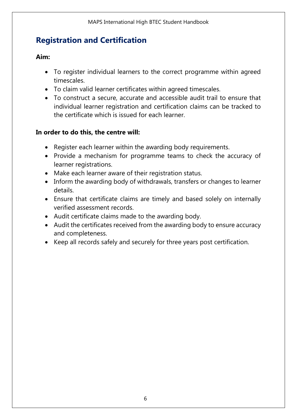## <span id="page-5-0"></span>**Registration and Certification**

## **Aim:**

- To register individual learners to the correct programme within agreed timescales.
- To claim valid learner certificates within agreed timescales.
- To construct a secure, accurate and accessible audit trail to ensure that individual learner registration and certification claims can be tracked to the certificate which is issued for each learner.

## **In order to do this, the centre will:**

- Register each learner within the awarding body requirements.
- Provide a mechanism for programme teams to check the accuracy of learner registrations.
- Make each learner aware of their registration status.
- Inform the awarding body of withdrawals, transfers or changes to learner details.
- Ensure that certificate claims are timely and based solely on internally verified assessment records.
- Audit certificate claims made to the awarding body.
- Audit the certificates received from the awarding body to ensure accuracy and completeness.
- Keep all records safely and securely for three years post certification.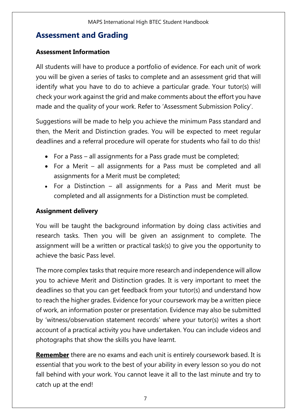## <span id="page-6-0"></span>**Assessment and Grading**

## **Assessment Information**

All students will have to produce a portfolio of evidence. For each unit of work you will be given a series of tasks to complete and an assessment grid that will identify what you have to do to achieve a particular grade. Your tutor(s) will check your work against the grid and make comments about the effort you have made and the quality of your work. Refer to 'Assessment Submission Policy'.

Suggestions will be made to help you achieve the minimum Pass standard and then, the Merit and Distinction grades. You will be expected to meet regular deadlines and a referral procedure will operate for students who fail to do this!

- For a Pass all assignments for a Pass grade must be completed;
- For a Merit all assignments for a Pass must be completed and all assignments for a Merit must be completed;
- For a Distinction all assignments for a Pass and Merit must be completed and all assignments for a Distinction must be completed.

## **Assignment delivery**

You will be taught the background information by doing class activities and research tasks. Then you will be given an assignment to complete. The assignment will be a written or practical task(s) to give you the opportunity to achieve the basic Pass level.

The more complex tasks that require more research and independence will allow you to achieve Merit and Distinction grades. It is very important to meet the deadlines so that you can get feedback from your tutor(s) and understand how to reach the higher grades. Evidence for your coursework may be a written piece of work, an information poster or presentation. Evidence may also be submitted by 'witness/observation statement records' where your tutor(s) writes a short account of a practical activity you have undertaken. You can include videos and photographs that show the skills you have learnt.

**Remember** there are no exams and each unit is entirely coursework based. It is essential that you work to the best of your ability in every lesson so you do not fall behind with your work. You cannot leave it all to the last minute and try to catch up at the end!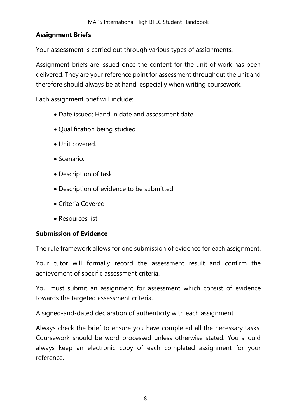## **Assignment Briefs**

Your assessment is carried out through various types of assignments.

Assignment briefs are issued once the content for the unit of work has been delivered. They are your reference point for assessment throughout the unit and therefore should always be at hand; especially when writing coursework.

Each assignment brief will include:

- Date issued; Hand in date and assessment date.
- Qualification being studied
- Unit covered.
- Scenario.
- Description of task
- Description of evidence to be submitted
- Criteria Covered
- Resources list

## **Submission of Evidence**

The rule framework allows for one submission of evidence for each assignment.

Your tutor will formally record the assessment result and confirm the achievement of specific assessment criteria.

You must submit an assignment for assessment which consist of evidence towards the targeted assessment criteria.

A signed-and-dated declaration of authenticity with each assignment.

Always check the brief to ensure you have completed all the necessary tasks. Coursework should be word processed unless otherwise stated. You should always keep an electronic copy of each completed assignment for your reference.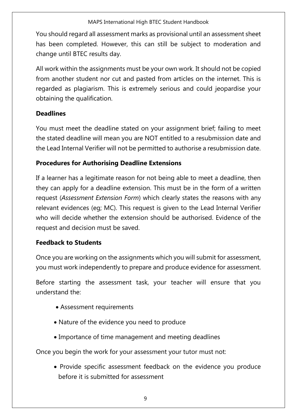You should regard all assessment marks as provisional until an assessment sheet has been completed. However, this can still be subject to moderation and change until BTEC results day.

All work within the assignments must be your own work. It should not be copied from another student nor cut and pasted from articles on the internet. This is regarded as plagiarism. This is extremely serious and could jeopardise your obtaining the qualification.

## **Deadlines**

You must meet the deadline stated on your assignment brief; failing to meet the stated deadline will mean you are NOT entitled to a resubmission date and the Lead Internal Verifier will not be permitted to authorise a resubmission date.

## **Procedures for Authorising Deadline Extensions**

If a learner has a legitimate reason for not being able to meet a deadline, then they can apply for a deadline extension. This must be in the form of a written request (*Assessment Extension Form*) which clearly states the reasons with any relevant evidences (eg; MC). This request is given to the Lead Internal Verifier who will decide whether the extension should be authorised. Evidence of the request and decision must be saved.

## **Feedback to Students**

Once you are working on the assignments which you will submit for assessment, you must work independently to prepare and produce evidence for assessment.

Before starting the assessment task, your teacher will ensure that you understand the:

- Assessment requirements
- Nature of the evidence you need to produce
- Importance of time management and meeting deadlines

Once you begin the work for your assessment your tutor must not:

 Provide specific assessment feedback on the evidence you produce before it is submitted for assessment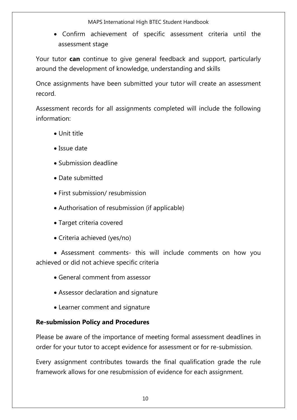MAPS International High BTEC Student Handbook

 Confirm achievement of specific assessment criteria until the assessment stage

Your tutor **can** continue to give general feedback and support, particularly around the development of knowledge, understanding and skills

Once assignments have been submitted your tutor will create an assessment record.

Assessment records for all assignments completed will include the following information:

- Unit title
- Issue date
- Submission deadline
- Date submitted
- First submission/ resubmission
- Authorisation of resubmission (if applicable)
- Target criteria covered
- Criteria achieved (yes/no)

 Assessment comments- this will include comments on how you achieved or did not achieve specific criteria

- General comment from assessor
- Assessor declaration and signature
- Learner comment and signature

## **Re-submission Policy and Procedures**

Please be aware of the importance of meeting formal assessment deadlines in order for your tutor to accept evidence for assessment or for re-submission.

Every assignment contributes towards the final qualification grade the rule framework allows for one resubmission of evidence for each assignment.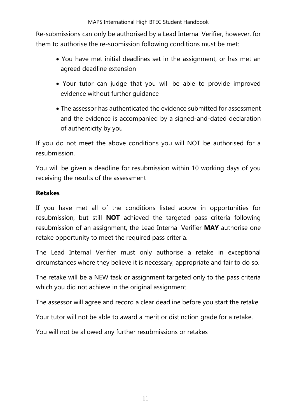Re-submissions can only be authorised by a Lead Internal Verifier, however, for them to authorise the re-submission following conditions must be met:

- You have met initial deadlines set in the assignment, or has met an agreed deadline extension
- Your tutor can judge that you will be able to provide improved evidence without further guidance
- The assessor has authenticated the evidence submitted for assessment and the evidence is accompanied by a signed-and-dated declaration of authenticity by you

If you do not meet the above conditions you will NOT be authorised for a resubmission.

You will be given a deadline for resubmission within 10 working days of you receiving the results of the assessment

## **Retakes**

If you have met all of the conditions listed above in opportunities for resubmission, but still **NOT** achieved the targeted pass criteria following resubmission of an assignment, the Lead Internal Verifier **MAY** authorise one retake opportunity to meet the required pass criteria.

The Lead Internal Verifier must only authorise a retake in exceptional circumstances where they believe it is necessary, appropriate and fair to do so.

The retake will be a NEW task or assignment targeted only to the pass criteria which you did not achieve in the original assignment.

The assessor will agree and record a clear deadline before you start the retake.

Your tutor will not be able to award a merit or distinction grade for a retake.

You will not be allowed any further resubmissions or retakes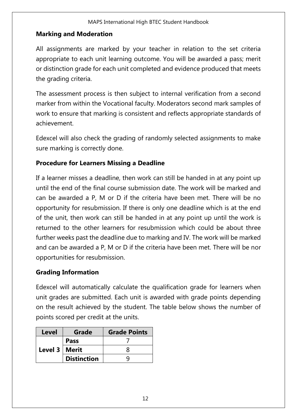#### MAPS International High BTEC Student Handbook

## **Marking and Moderation**

All assignments are marked by your teacher in relation to the set criteria appropriate to each unit learning outcome. You will be awarded a pass; merit or distinction grade for each unit completed and evidence produced that meets the grading criteria.

The assessment process is then subject to internal verification from a second marker from within the Vocational faculty. Moderators second mark samples of work to ensure that marking is consistent and reflects appropriate standards of achievement.

Edexcel will also check the grading of randomly selected assignments to make sure marking is correctly done.

## **Procedure for Learners Missing a Deadline**

If a learner misses a deadline, then work can still be handed in at any point up until the end of the final course submission date. The work will be marked and can be awarded a P, M or D if the criteria have been met. There will be no opportunity for resubmission. If there is only one deadline which is at the end of the unit, then work can still be handed in at any point up until the work is returned to the other learners for resubmission which could be about three further weeks past the deadline due to marking and IV. The work will be marked and can be awarded a P, M or D if the criteria have been met. There will be nor opportunities for resubmission.

## **Grading Information**

Edexcel will automatically calculate the qualification grade for learners when unit grades are submitted. Each unit is awarded with grade points depending on the result achieved by the student. The table below shows the number of points scored per credit at the units.

| <b>Level</b>    | Grade              | <b>Grade Points</b> |
|-----------------|--------------------|---------------------|
| Level 3   Merit | <b>Pass</b>        |                     |
|                 |                    |                     |
|                 | <b>Distinction</b> |                     |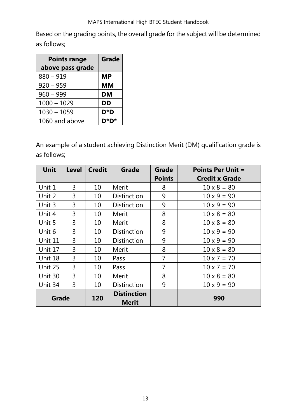#### MAPS International High BTEC Student Handbook

Based on the grading points, the overall grade for the subject will be determined as follows;

| <b>Points range</b> | Grade     |
|---------------------|-----------|
| above pass grade    |           |
| $880 - 919$         | <b>MP</b> |
| $920 - 959$         | <b>MM</b> |
| $960 - 999$         | <b>DM</b> |
| $1000 - 1029$       | <b>DD</b> |
| $1030 - 1059$       | $D^*D$    |
| 1060 and above      | D*l<br>D* |

An example of a student achieving Distinction Merit (DM) qualification grade is as follows;

| Unit    | <b>Level</b> | <b>Credit</b> | <b>Grade</b>       | Grade          | <b>Points Per Unit =</b> |
|---------|--------------|---------------|--------------------|----------------|--------------------------|
|         |              |               |                    | <b>Points</b>  | <b>Credit x Grade</b>    |
| Unit 1  | 3            | 10            | Merit              | 8              | $10 \times 8 = 80$       |
| Unit 2  | 3            | 10            | <b>Distinction</b> | 9              | $10 \times 9 = 90$       |
| Unit 3  | 3            | 10            | <b>Distinction</b> | 9              | $10 \times 9 = 90$       |
| Unit 4  | 3            | 10            | Merit              | 8              | $10 \times 8 = 80$       |
| Unit 5  | 3            | 10            | Merit              | 8              | $10 \times 8 = 80$       |
| Unit 6  | 3            | 10            | <b>Distinction</b> | 9              | $10 \times 9 = 90$       |
| Unit 11 | 3            | 10            | <b>Distinction</b> | 9              | $10 \times 9 = 90$       |
| Unit 17 | 3            | 10            | Merit              | 8              | $10 \times 8 = 80$       |
| Unit 18 | 3            | 10            | Pass               | $\overline{7}$ | $10 \times 7 = 70$       |
| Unit 25 | 3            | 10            | Pass               | 7              | $10 \times 7 = 70$       |
| Unit 30 | 3            | 10            | Merit              | 8              | $10 \times 8 = 80$       |
| Unit 34 | 3            | 10            | <b>Distinction</b> | 9              | $10 \times 9 = 90$       |
| Grade   |              | 120           | <b>Distinction</b> |                | 990                      |
|         |              |               | Merit              |                |                          |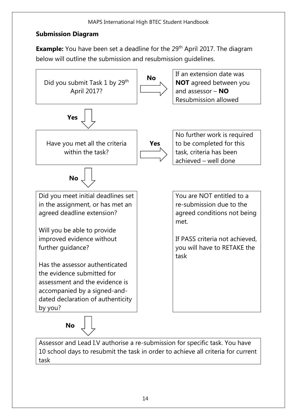## **Submission Diagram**

**Example:** You have been set a deadline for the 29<sup>th</sup> April 2017. The diagram below will outline the submission and resubmission guidelines.



Assessor and Lead I.V authorise a re-submission for specific task. You have 10 school days to resubmit the task in order to achieve all criteria for current task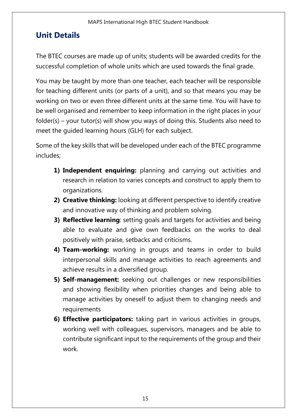## <span id="page-14-0"></span>**Unit Details**

The BTEC courses are made up of units; students will be awarded credits for the successful completion of whole units which are used towards the final grade.

You may be taught by more than one teacher, each teacher will be responsible for teaching different units (or parts of a unit), and so that means you may be working on two or even three different units at the same time. You will have to be well organised and remember to keep information in the right places in your folder(s) – your tutor(s) will show you ways of doing this. Students also need to meet the guided learning hours (GLH) for each subject.

Some of the key skills that will be developed under each of the BTEC programme includes;

- **1) Independent enquiring:** planning and carrying out activities and research in relation to varies concepts and construct to apply them to organizations.
- **2) Creative thinking:** looking at different perspective to identify creative and innovative way of thinking and problem solving.
- **3) Reflective learning**: setting goals and targets for activities and being able to evaluate and give own feedbacks on the works to deal positively with praise, setbacks and criticisms.
- **4) Team-working:** working in groups and teams in order to build interpersonal skills and manage activities to reach agreements and achieve results in a diversified group.
- **5) Self-management:** seeking out challenges or new responsibilities and showing flexibility when priorities changes and being able to manage activities by oneself to adjust them to changing needs and requirements
- **6) Effective participators:** taking part in various activities in groups, working well with colleagues, supervisors, managers and be able to contribute significant input to the requirements of the group and their work.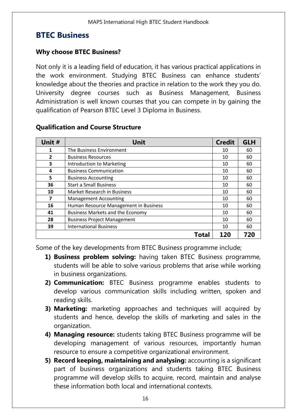## <span id="page-15-0"></span>**BTEC Business**

#### **Why choose BTEC Business?**

Not only it is a leading field of education, it has various practical applications in the work environment. Studying BTEC Business can enhance students' knowledge about the theories and practice in relation to the work they you do. University degree courses such as Business Management, Business Administration is well known courses that you can compete in by gaining the qualification of Pearson BTEC Level 3 Diploma in Business.

| Unit #                  | <b>Unit</b>                             | <b>Credit</b> | <b>GLH</b> |
|-------------------------|-----------------------------------------|---------------|------------|
| 1                       | The Business Environment                | 10            | 60         |
| $\overline{2}$          | <b>Business Resources</b>               | 10            | 60         |
| 3                       | Introduction to Marketing               | 10            | 60         |
| 4                       | <b>Business Communication</b>           | 10            | 60         |
| 5                       | <b>Business Accounting</b>              | 10            | 60         |
| 36                      | <b>Start a Small Business</b>           | 10            | 60         |
| 10                      | Market Research in Business             | 10            | 60         |
| $\overline{\mathbf{z}}$ | <b>Management Accounting</b>            | 10            | 60         |
| 16                      | Human Resource Management in Business   | 10            | 60         |
| 41                      | <b>Business Markets and the Economy</b> | 10            | 60         |
| 28                      | <b>Business Project Management</b>      | 10            | 60         |
| 39                      | <b>International Business</b>           | 10            | 60         |
|                         | Total                                   | 120           | 720        |

#### **Qualification and Course Structure**

Some of the key developments from BTEC Business programme include;

- **1) Business problem solving:** having taken BTEC Business programme, students will be able to solve various problems that arise while working in business organizations.
- **2) Communication:** BTEC Business programme enables students to develop various communication skills including written, spoken and reading skills.
- **3) Marketing:** marketing approaches and techniques will acquired by students and hence, develop the skills of marketing and sales in the organization.
- **4) Managing resource:** students taking BTEC Business programme will be developing management of various resources, importantly human resource to ensure a competitive organizational environment.
- **5) Record keeping, maintaining and analysing:** accounting is a significant part of business organizations and students taking BTEC Business programme will develop skills to acquire, record, maintain and analyse these information both local and international contexts.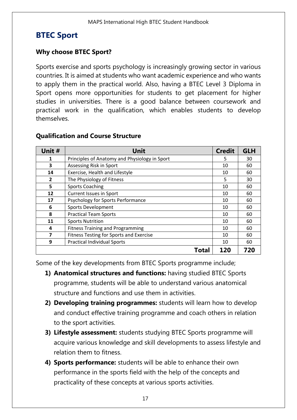## <span id="page-16-0"></span>**BTEC Sport**

#### **Why choose BTEC Sport?**

Sports exercise and sports psychology is increasingly growing sector in various countries. It is aimed at students who want academic experience and who wants to apply them in the practical world. Also, having a BTEC Level 3 Diploma in Sport opens more opportunities for students to get placement for higher studies in universities. There is a good balance between coursework and practical work in the qualification, which enables students to develop themselves.

| Unit #         | Unit                                          | <b>Credit</b> | <b>GLH</b> |
|----------------|-----------------------------------------------|---------------|------------|
| 1              | Principles of Anatomy and Physiology in Sport | 5             | 30         |
| 3              | Assessing Risk in Sport                       | 10            | 60         |
| 14             | Exercise, Health and Lifestyle                | 10            | 60         |
| $\overline{2}$ | The Physiology of Fitness                     | 5             | 30         |
| 5              | <b>Sports Coaching</b>                        | 10            | 60         |
| 12             | <b>Current Issues in Sport</b>                | 10            | 60         |
| 17             | Psychology for Sports Performance             | 10            | 60         |
| 6              | Sports Development                            | 10            | 60         |
| 8              | <b>Practical Team Sports</b>                  | 10            | 60         |
| 11             | <b>Sports Nutrition</b>                       | 10            | 60         |
| 4              | <b>Fitness Training and Programming</b>       | 10            | 60         |
| 7              | Fitness Testing for Sports and Exercise       | 10            | 60         |
| 9              | <b>Practical Individual Sports</b>            | 10            | 60         |
|                | Total                                         | 120           | 720        |

#### **Qualification and Course Structure**

Some of the key developments from BTEC Sports programme include;

- **1) Anatomical structures and functions:** having studied BTEC Sports programme, students will be able to understand various anatomical structure and functions and use them in activities.
- **2) Developing training programmes:** students will learn how to develop and conduct effective training programme and coach others in relation to the sport activities.
- **3) Lifestyle assessment:** students studying BTEC Sports programme will acquire various knowledge and skill developments to assess lifestyle and relation them to fitness.
- **4) Sports performance:** students will be able to enhance their own performance in the sports field with the help of the concepts and practicality of these concepts at various sports activities.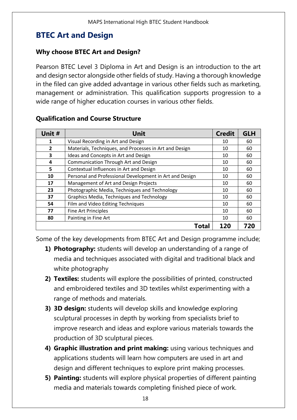## <span id="page-17-0"></span>**BTEC Art and Design**

#### **Why choose BTEC Art and Design?**

Pearson BTEC Level 3 Diploma in Art and Design is an introduction to the art and design sector alongside other fields of study. Having a thorough knowledge in the filed can give added advantage in various other fields such as marketing, management or administration. This qualification supports progression to a wide range of higher education courses in various other fields.

| Unit #         | <b>Unit</b>                                             | <b>Credit</b> | <b>GLH</b> |
|----------------|---------------------------------------------------------|---------------|------------|
|                | Visual Recording in Art and Design                      | 10            | 60         |
| $\overline{2}$ | Materials, Techniques, and Processes in Art and Design  | 10            | 60         |
| 3              | Ideas and Concepts in Art and Design                    | 10            | 60         |
| 4              | <b>Communication Through Art and Design</b>             | 10            | 60         |
| 5              | Contextual Influences in Art and Design                 | 10            | 60         |
| 10             | Personal and Professional Development in Art and Design | 10            | 60         |
| 17             | Management of Art and Design Projects                   | 10            | 60         |
| 23             | Photographic Media, Techniques and Technology           | 10            | 60         |
| 37             | Graphics Media, Techniques and Technology               | 10            | 60         |
| 54             | Film and Video Editing Techniques                       | 10            | 60         |
| 77             | <b>Fine Art Principles</b>                              | 10            | 60         |
| 80             | Painting in Fine Art                                    | 10            | 60         |
|                | Total                                                   | <b>120</b>    | 720        |

#### **Qualification and Course Structure**

<span id="page-17-1"></span>Some of the key developments from BTEC Art and Design programme include;

- **1) Photography:** students will develop an understanding of a range of media and techniques associated with digital and traditional black and white photography
- **2) Textiles:** students will explore the possibilities of printed, constructed and embroidered textiles and 3D textiles whilst experimenting with a range of methods and materials.
- **3) 3D design:** students will develop skills and knowledge exploring sculptural processes in depth by working from specialists brief to improve research and ideas and explore various materials towards the production of 3D sculptural pieces.
- **4) Graphic illustration and print making:** using various techniques and applications students will learn how computers are used in art and design and different techniques to explore print making processes.
- **5) Painting:** students will explore physical properties of different painting media and materials towards completing finished piece of work.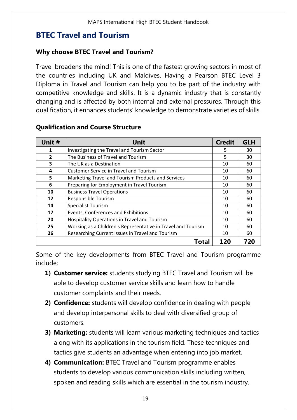## **BTEC Travel and Tourism**

#### **Why choose BTEC Travel and Tourism?**

Travel broadens the mind! This is one of the fastest growing sectors in most of the countries including UK and Maldives. Having a Pearson BTEC Level 3 Diploma in Travel and Tourism can help you to be part of the industry with competitive knowledge and skills. It is a dynamic industry that is constantly changing and is affected by both internal and external pressures. Through this qualification, it enhances students' knowledge to demonstrate varieties of skills.

| Unit #         | Unit                                                         | <b>Credit</b> | <b>GLH</b> |
|----------------|--------------------------------------------------------------|---------------|------------|
| 1              | Investigating the Travel and Tourism Sector                  | 5             | 30         |
| $\overline{2}$ | The Business of Travel and Tourism                           | 5             | 30         |
| 3              | The UK as a Destination                                      | 10            | 60         |
| 4              | <b>Customer Service in Travel and Tourism</b>                | 10            | 60         |
| 5              | Marketing Travel and Tourism Products and Services           | 10            | 60         |
| 6              | Preparing for Employment in Travel Tourism                   | 10            | 60         |
| 10             | <b>Business Travel Operations</b>                            | 10            | 60         |
| 12             | Responsible Tourism                                          | 10            | 60         |
| 14             | Specialist Tourism                                           | 10            | 60         |
| 17             | Events, Conferences and Exhibitions                          | 10            | 60         |
| 20             | Hospitality Operations in Travel and Tourism                 | 10            | 60         |
| 25             | Working as a Children's Representative in Travel and Tourism | 10            | 60         |
| 26             | Researching Current Issues in Travel and Tourism             | 10            | 60         |
|                | Total                                                        | 120           | 720        |

## **Qualification and Course Structure**

Some of the key developments from BTEC Travel and Tourism programme include;

- **1) Customer service:** students studying BTEC Travel and Tourism will be able to develop customer service skills and learn how to handle customer complaints and their needs.
- **2) Confidence:** students will develop confidence in dealing with people and develop interpersonal skills to deal with diversified group of customers.
- **3) Marketing:** students will learn various marketing techniques and tactics along with its applications in the tourism field. These techniques and tactics give students an advantage when entering into job market.
- **4) Communication:** BTEC Travel and Tourism programme enables students to develop various communication skills including written, spoken and reading skills which are essential in the tourism industry.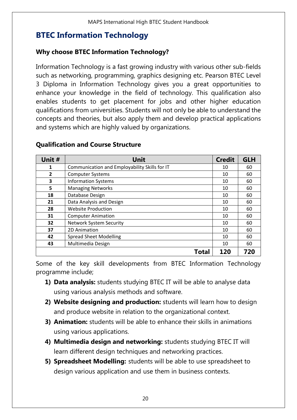## <span id="page-19-0"></span>**BTEC Information Technology**

## **Why choose BTEC Information Technology?**

Information Technology is a fast growing industry with various other sub-fields such as networking, programming, graphics designing etc. Pearson BTEC Level 3 Diploma in Information Technology gives you a great opportunities to enhance your knowledge in the field of technology. This qualification also enables students to get placement for jobs and other higher education qualifications from universities. Students will not only be able to understand the concepts and theories, but also apply them and develop practical applications and systems which are highly valued by organizations.

| Unit #         | Unit                                          | <b>Credit</b> | <b>GLH</b> |
|----------------|-----------------------------------------------|---------------|------------|
| 1              | Communication and Employability Skills for IT | 10            | 60         |
| $\overline{2}$ | <b>Computer Systems</b>                       | 10            | 60         |
| 3              | <b>Information Systems</b>                    | 10            | 60         |
| 5              | <b>Managing Networks</b>                      | 10            | 60         |
| 18             | Database Design                               | 10            | 60         |
| 21             | Data Analysis and Design                      | 10            | 60         |
| 28             | <b>Website Production</b>                     | 10            | 60         |
| 31             | <b>Computer Animation</b>                     | 10            | 60         |
| 32             | <b>Network System Security</b>                | 10            | 60         |
| 37             | 2D Animation                                  | 10            | 60         |
| 42             | <b>Spread Sheet Modelling</b>                 | 10            | 60         |
| 43             | Multimedia Design                             | 10            | 60         |
|                | Total                                         | 120           | 720        |

## **Qualification and Course Structure**

Some of the key skill developments from BTEC Information Technology programme include;

- **1) Data analysis:** students studying BTEC IT will be able to analyse data using various analysis methods and software.
- **2) Website designing and production:** students will learn how to design and produce website in relation to the organizational context.
- **3) Animation:** students will be able to enhance their skills in animations using various applications.
- **4) Multimedia design and networking:** students studying BTEC IT will learn different design techniques and networking practices.
- **5) Spreadsheet Modelling:** students will be able to use spreadsheet to design various application and use them in business contexts.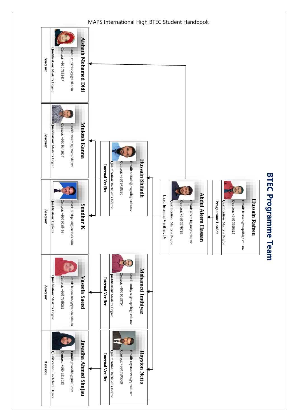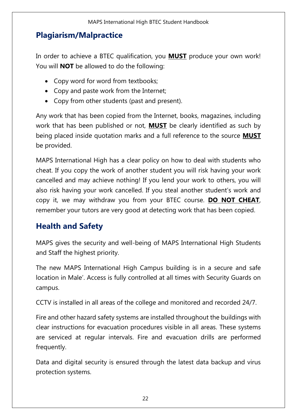## <span id="page-21-0"></span>**Plagiarism/Malpractice**

In order to achieve a BTEC qualification, you **MUST** produce your own work! You will **NOT** be allowed to do the following:

- Copy word for word from textbooks;
- Copy and paste work from the Internet;
- Copy from other students (past and present).

Any work that has been copied from the Internet, books, magazines, including work that has been published or not, **MUST** be clearly identified as such by being placed inside quotation marks and a full reference to the source **MUST** be provided.

MAPS International High has a clear policy on how to deal with students who cheat. If you copy the work of another student you will risk having your work cancelled and may achieve nothing! If you lend your work to others, you will also risk having your work cancelled. If you steal another student's work and copy it, we may withdraw you from your BTEC course. **DO NOT CHEAT**, remember your tutors are very good at detecting work that has been copied.

## <span id="page-21-1"></span>**Health and Safety**

MAPS gives the security and well-being of MAPS International High Students and Staff the highest priority.

The new MAPS International High Campus building is in a secure and safe location in Male'. Access is fully controlled at all times with Security Guards on campus.

CCTV is installed in all areas of the college and monitored and recorded 24/7.

Fire and other hazard safety systems are installed throughout the buildings with clear instructions for evacuation procedures visible in all areas. These systems are serviced at regular intervals. Fire and evacuation drills are performed frequently.

Data and digital security is ensured through the latest data backup and virus protection systems.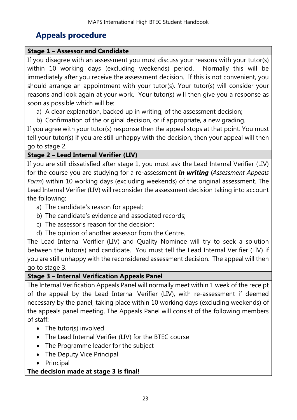## <span id="page-22-0"></span>**Appeals procedure**

## **Stage 1 – Assessor and Candidate**

If you disagree with an assessment you must discuss your reasons with your tutor(s) within 10 working days (excluding weekends) period. Normally this will be immediately after you receive the assessment decision. If this is not convenient, you should arrange an appointment with your tutor(s). Your tutor(s) will consider your reasons and look again at your work. Your tutor(s) will then give you a response as soon as possible which will be:

- a) A clear explanation, backed up in writing, of the assessment decision;
- b) Confirmation of the original decision, or if appropriate, a new grading.

If you agree with your tutor(s) response then the appeal stops at that point. You must tell your tutor(s) if you are still unhappy with the decision, then your appeal will then go to stage 2.

## **Stage 2 – Lead Internal Verifier (LIV)**

If you are still dissatisfied after stage 1, you must ask the Lead Internal Verifier (LIV) for the course you are studying for a re-assessment *in writing* (*Assessment Appeals Form*) within 10 working days (excluding weekends) of the original assessment. The Lead Internal Verifier (LIV) will reconsider the assessment decision taking into account the following:

- a) The candidate's reason for appeal;
- b) The candidate's evidence and associated records;
- c) The assessor's reason for the decision;
- d) The opinion of another assessor from the Centre.

The Lead Internal Verifier (LIV) and Quality Nominee will try to seek a solution between the tutor(s) and candidate. You must tell the Lead Internal Verifier (LIV) if you are still unhappy with the reconsidered assessment decision. The appeal will then go to stage 3.

## **Stage 3 – Internal Verification Appeals Panel**

The Internal Verification Appeals Panel will normally meet within 1 week of the receipt of the appeal by the Lead Internal Verifier (LIV), with re-assessment if deemed necessary by the panel, taking place within 10 working days (excluding weekends) of the appeals panel meeting. The Appeals Panel will consist of the following members of staff:

- The tutor(s) involved
- The Lead Internal Verifier (LIV) for the BTEC course
- The Programme leader for the subject
- The Deputy Vice Principal
- Principal

## **The decision made at stage 3 is final!**